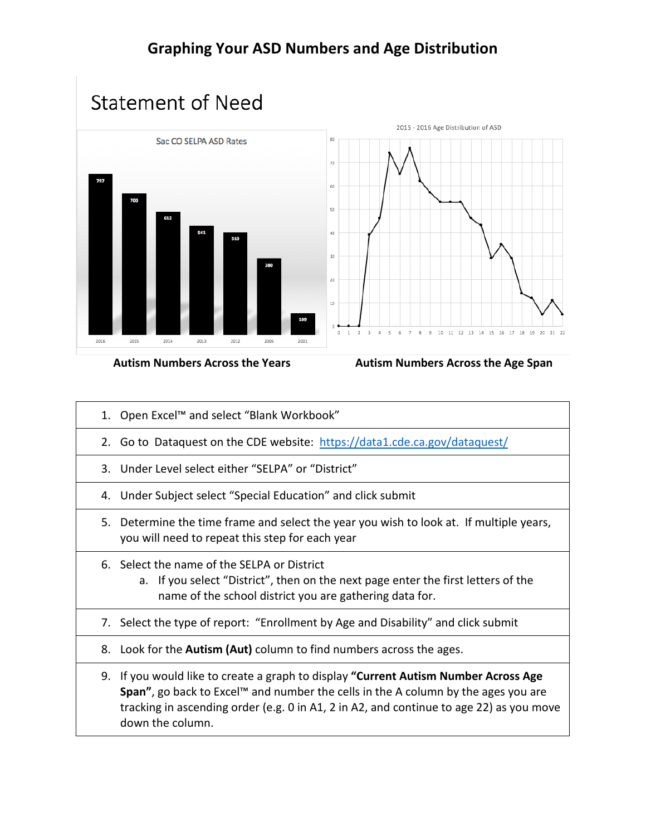## **Statement of Need**



## Autism Numbers Across the Years **Autism Numbers Across the Age Span**

- 1. Open Excel™ and select "Blank Workbook"
- 2. Go to Dataquest on the CDE website: <https://data1.cde.ca.gov/dataquest/>
- 3. Under Level select either "SELPA" or "District"
- 4. Under Subject select "Special Education" and click submit
- 5. Determine the time frame and select the year you wish to look at. If multiple years, you will need to repeat this step for each year
- 6. Select the name of the SELPA or District
	- a. If you select "District", then on the next page enter the first letters of the name of the school district you are gathering data for.
- 7. Select the type of report: "Enrollment by Age and Disability" and click submit
- 8. Look for the **Autism (Aut)** column to find numbers across the ages.
- 9. If you would like to create a graph to display **"Current Autism Number Across Age Span"**, go back to Excel™ and number the cells in the A column by the ages you are tracking in ascending order (e.g. 0 in A1, 2 in A2, and continue to age 22) as you move down the column.